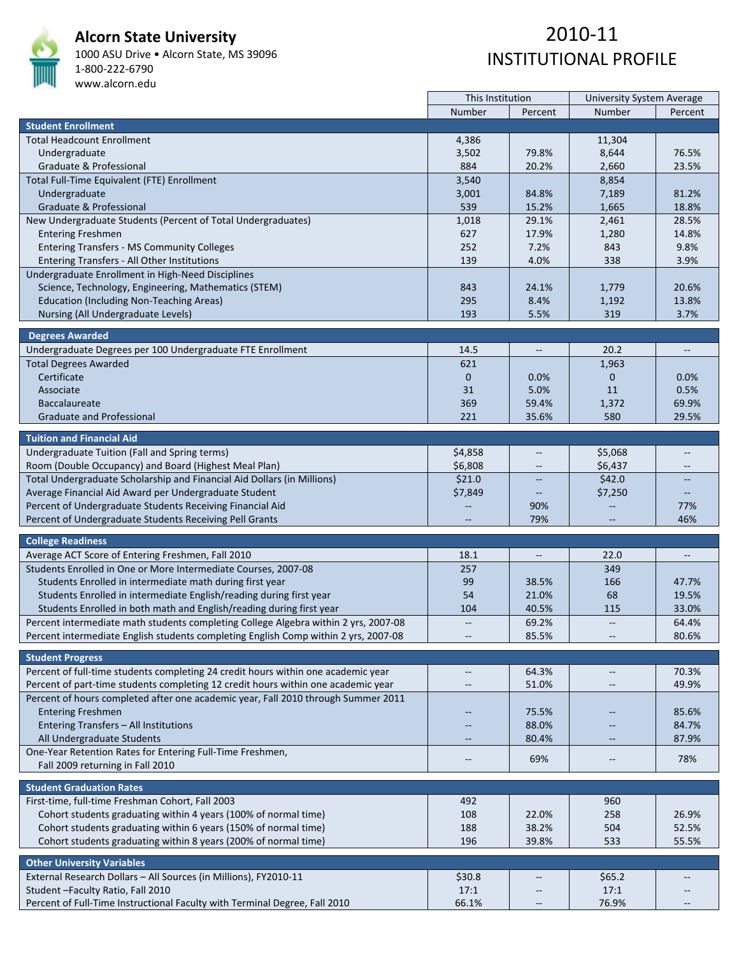

### **Alcorn State University**

1000 ASU Drive • Alcorn State, MS 39096 1‐800‐222‐6790 www.alcorn.edu

|                                                                                     | This Institution         |                                                     | <b>University System Average</b> |                                   |  |
|-------------------------------------------------------------------------------------|--------------------------|-----------------------------------------------------|----------------------------------|-----------------------------------|--|
|                                                                                     | Number                   | Percent                                             | Number                           | Percent                           |  |
| <b>Student Enrollment</b>                                                           |                          |                                                     |                                  |                                   |  |
| <b>Total Headcount Enrollment</b>                                                   | 4,386                    |                                                     | 11,304                           |                                   |  |
| Undergraduate                                                                       | 3,502                    | 79.8%                                               | 8,644                            | 76.5%                             |  |
| Graduate & Professional                                                             | 884                      | 20.2%                                               | 2,660                            | 23.5%                             |  |
| Total Full-Time Equivalent (FTE) Enrollment                                         | 3,540                    |                                                     | 8,854                            |                                   |  |
| Undergraduate                                                                       | 3,001                    | 84.8%                                               | 7,189                            | 81.2%                             |  |
| Graduate & Professional                                                             | 539                      | 15.2%                                               | 1,665                            | 18.8%                             |  |
| New Undergraduate Students (Percent of Total Undergraduates)                        | 1,018                    | 29.1%                                               | 2,461                            | 28.5%                             |  |
| <b>Entering Freshmen</b>                                                            | 627                      | 17.9%                                               | 1,280                            | 14.8%                             |  |
| <b>Entering Transfers - MS Community Colleges</b>                                   | 252                      | 7.2%                                                | 843                              | 9.8%                              |  |
| Entering Transfers - All Other Institutions                                         | 139                      | 4.0%                                                | 338                              | 3.9%                              |  |
| Undergraduate Enrollment in High-Need Disciplines                                   |                          |                                                     |                                  |                                   |  |
| Science, Technology, Engineering, Mathematics (STEM)                                | 843                      | 24.1%                                               | 1,779                            | 20.6%                             |  |
| <b>Education (Including Non-Teaching Areas)</b>                                     | 295                      | 8.4%                                                | 1,192                            | 13.8%                             |  |
|                                                                                     |                          |                                                     | 319                              |                                   |  |
| Nursing (All Undergraduate Levels)                                                  | 193                      | 5.5%                                                |                                  | 3.7%                              |  |
| <b>Degrees Awarded</b>                                                              |                          |                                                     |                                  |                                   |  |
| Undergraduate Degrees per 100 Undergraduate FTE Enrollment                          | 14.5                     | $- -$                                               | 20.2                             | $\hspace{0.05cm} \dashrightarrow$ |  |
| <b>Total Degrees Awarded</b>                                                        | 621                      |                                                     | 1,963                            |                                   |  |
| Certificate                                                                         | $\mathbf{0}$             | 0.0%                                                | 0                                | 0.0%                              |  |
| Associate                                                                           | 31                       | 5.0%                                                | 11                               | 0.5%                              |  |
| <b>Baccalaureate</b>                                                                | 369                      | 59.4%                                               | 1,372                            | 69.9%                             |  |
| <b>Graduate and Professional</b>                                                    | 221                      | 35.6%                                               | 580                              | 29.5%                             |  |
|                                                                                     |                          |                                                     |                                  |                                   |  |
| <b>Tuition and Financial Aid</b>                                                    |                          |                                                     |                                  |                                   |  |
| Undergraduate Tuition (Fall and Spring terms)                                       | \$4,858                  |                                                     | \$5,068                          | --                                |  |
| Room (Double Occupancy) and Board (Highest Meal Plan)                               | \$6,808                  |                                                     | \$6,437                          |                                   |  |
| Total Undergraduate Scholarship and Financial Aid Dollars (in Millions)             | \$21.0                   |                                                     | \$42.0                           |                                   |  |
| Average Financial Aid Award per Undergraduate Student                               | \$7,849                  |                                                     | \$7,250                          | $\qquad \qquad -$                 |  |
| Percent of Undergraduate Students Receiving Financial Aid                           |                          | 90%                                                 |                                  | 77%                               |  |
| Percent of Undergraduate Students Receiving Pell Grants                             |                          | 79%                                                 |                                  | 46%                               |  |
|                                                                                     |                          |                                                     |                                  |                                   |  |
| <b>College Readiness</b>                                                            |                          |                                                     |                                  |                                   |  |
| Average ACT Score of Entering Freshmen, Fall 2010                                   | 18.1                     | $\hspace{0.05cm} -\hspace{0.05cm} -\hspace{0.05cm}$ | 22.0                             | $\overline{\phantom{a}}$          |  |
| Students Enrolled in One or More Intermediate Courses, 2007-08                      | 257                      |                                                     | 349                              |                                   |  |
| Students Enrolled in intermediate math during first year                            | 99                       | 38.5%                                               | 166                              | 47.7%                             |  |
| Students Enrolled in intermediate English/reading during first year                 | 54                       | 21.0%                                               | 68                               | 19.5%                             |  |
| Students Enrolled in both math and English/reading during first year                | 104                      | 40.5%                                               | 115                              | 33.0%                             |  |
| Percent intermediate math students completing College Algebra within 2 yrs, 2007-08 | $\overline{\phantom{m}}$ | 69.2%                                               |                                  | 64.4%                             |  |
| Percent intermediate English students completing English Comp within 2 yrs, 2007-08 |                          | 85.5%                                               |                                  | 80.6%                             |  |
|                                                                                     |                          |                                                     |                                  |                                   |  |
| <b>Student Progress</b>                                                             |                          |                                                     |                                  |                                   |  |
| Percent of full-time students completing 24 credit hours within one academic year   | $\overline{\phantom{a}}$ | 64.3%                                               | $\overline{\phantom{m}}$         | 70.3%                             |  |
| Percent of part-time students completing 12 credit hours within one academic year   | $\overline{\phantom{a}}$ | 51.0%                                               | $\overline{\phantom{m}}$         | 49.9%                             |  |
| Percent of hours completed after one academic year, Fall 2010 through Summer 2011   |                          |                                                     |                                  |                                   |  |
| <b>Entering Freshmen</b>                                                            |                          | 75.5%                                               |                                  | 85.6%                             |  |
| Entering Transfers - All Institutions                                               |                          | 88.0%                                               |                                  | 84.7%                             |  |
| All Undergraduate Students                                                          | $\overline{\phantom{a}}$ | 80.4%                                               |                                  | 87.9%                             |  |
| One-Year Retention Rates for Entering Full-Time Freshmen,                           | $\overline{\phantom{m}}$ | 69%                                                 | --                               | 78%                               |  |
| Fall 2009 returning in Fall 2010                                                    |                          |                                                     |                                  |                                   |  |
|                                                                                     |                          |                                                     |                                  |                                   |  |
| <b>Student Graduation Rates</b>                                                     |                          |                                                     |                                  |                                   |  |
| First-time, full-time Freshman Cohort, Fall 2003                                    | 492                      |                                                     | 960                              |                                   |  |
| Cohort students graduating within 4 years (100% of normal time)                     | 108                      | 22.0%                                               | 258                              | 26.9%                             |  |
| Cohort students graduating within 6 years (150% of normal time)                     | 188                      | 38.2%                                               | 504                              | 52.5%                             |  |
| Cohort students graduating within 8 years (200% of normal time)                     | 196                      | 39.8%                                               | 533                              | 55.5%                             |  |
| <b>Other University Variables</b>                                                   |                          |                                                     |                                  |                                   |  |
| External Research Dollars - All Sources (in Millions), FY2010-11                    | \$30.8                   |                                                     | \$65.2                           |                                   |  |
| Student-Faculty Ratio, Fall 2010                                                    | 17:1                     | $-\!$                                               | 17:1                             |                                   |  |
| Percent of Full-Time Instructional Faculty with Terminal Degree, Fall 2010          | 66.1%                    |                                                     | 76.9%                            |                                   |  |
|                                                                                     |                          |                                                     |                                  |                                   |  |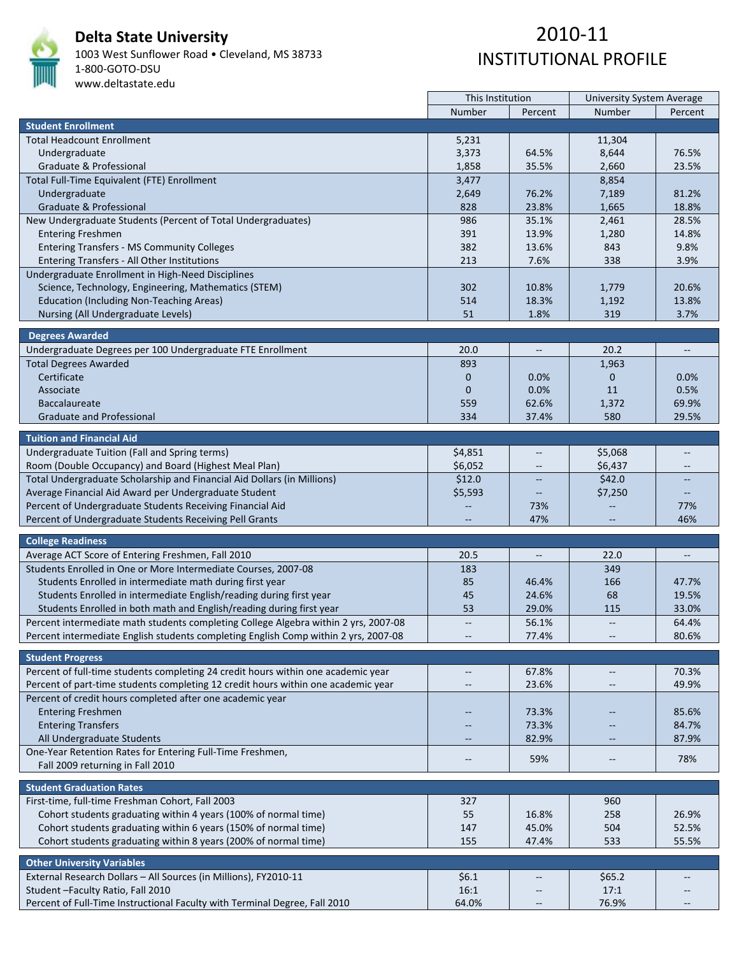

#### **Delta State University**

1003 West Sunflower Road • Cleveland, MS 38733 1‐800‐GOTO‐DSU www.deltastate.edu

|                                                                                     | This Institution         |                          | University System Average |                          |
|-------------------------------------------------------------------------------------|--------------------------|--------------------------|---------------------------|--------------------------|
|                                                                                     | Number                   | Percent                  | <b>Number</b>             | Percent                  |
| <b>Student Enrollment</b>                                                           |                          |                          |                           |                          |
| <b>Total Headcount Enrollment</b>                                                   | 5,231                    |                          | 11,304                    |                          |
| Undergraduate                                                                       | 3,373                    | 64.5%                    | 8,644                     | 76.5%                    |
| Graduate & Professional                                                             | 1,858                    | 35.5%                    | 2,660                     | 23.5%                    |
| Total Full-Time Equivalent (FTE) Enrollment                                         | 3,477                    |                          | 8,854                     |                          |
| Undergraduate                                                                       | 2,649                    | 76.2%                    | 7,189                     | 81.2%                    |
| Graduate & Professional                                                             | 828                      | 23.8%                    | 1,665                     | 18.8%                    |
| New Undergraduate Students (Percent of Total Undergraduates)                        | 986                      | 35.1%                    | 2,461                     | 28.5%                    |
| <b>Entering Freshmen</b>                                                            | 391                      | 13.9%                    | 1,280                     | 14.8%                    |
| <b>Entering Transfers - MS Community Colleges</b>                                   | 382                      | 13.6%                    | 843                       | 9.8%                     |
| Entering Transfers - All Other Institutions                                         | 213                      | 7.6%                     | 338                       | 3.9%                     |
| Undergraduate Enrollment in High-Need Disciplines                                   |                          |                          |                           |                          |
| Science, Technology, Engineering, Mathematics (STEM)                                | 302                      | 10.8%                    | 1,779                     | 20.6%                    |
| <b>Education (Including Non-Teaching Areas)</b>                                     | 514                      | 18.3%                    | 1,192                     | 13.8%                    |
| Nursing (All Undergraduate Levels)                                                  | 51                       | 1.8%                     | 319                       | 3.7%                     |
|                                                                                     |                          |                          |                           |                          |
| <b>Degrees Awarded</b>                                                              |                          |                          |                           |                          |
| Undergraduate Degrees per 100 Undergraduate FTE Enrollment                          | 20.0                     |                          | 20.2                      |                          |
| <b>Total Degrees Awarded</b>                                                        | 893                      |                          | 1,963                     |                          |
| Certificate                                                                         | $\pmb{0}$                | 0.0%                     | $\mathbf 0$               | 0.0%                     |
| Associate                                                                           | $\mathbf{0}$             | 0.0%                     | 11                        | 0.5%                     |
| Baccalaureate                                                                       | 559                      | 62.6%                    | 1,372                     | 69.9%                    |
| <b>Graduate and Professional</b>                                                    | 334                      | 37.4%                    | 580                       | 29.5%                    |
|                                                                                     |                          |                          |                           |                          |
| <b>Tuition and Financial Aid</b>                                                    |                          |                          |                           |                          |
| Undergraduate Tuition (Fall and Spring terms)                                       | \$4,851                  | $\qquad \qquad -$        | \$5,068                   | $\overline{\phantom{a}}$ |
| Room (Double Occupancy) and Board (Highest Meal Plan)                               | \$6,052                  |                          | \$6,437                   | $-$                      |
| Total Undergraduate Scholarship and Financial Aid Dollars (in Millions)             | \$12.0                   | $-$                      | \$42.0                    | $\overline{a}$           |
| Average Financial Aid Award per Undergraduate Student                               | \$5,593                  |                          | \$7,250                   |                          |
| Percent of Undergraduate Students Receiving Financial Aid                           |                          | 73%                      |                           | 77%                      |
| Percent of Undergraduate Students Receiving Pell Grants                             | $-$                      | 47%                      | $-$                       | 46%                      |
|                                                                                     |                          |                          |                           |                          |
| <b>College Readiness</b>                                                            |                          |                          |                           |                          |
| Average ACT Score of Entering Freshmen, Fall 2010                                   | 20.5                     | $-$                      | 22.0                      |                          |
| Students Enrolled in One or More Intermediate Courses, 2007-08                      | 183                      |                          | 349                       |                          |
| Students Enrolled in intermediate math during first year                            | 85                       | 46.4%                    | 166                       | 47.7%                    |
| Students Enrolled in intermediate English/reading during first year                 | 45                       | 24.6%                    | 68                        | 19.5%                    |
| Students Enrolled in both math and English/reading during first year                | 53                       | 29.0%                    | 115                       | 33.0%                    |
| Percent intermediate math students completing College Algebra within 2 yrs, 2007-08 | $\overline{\phantom{a}}$ | 56.1%                    | $\overline{\phantom{a}}$  | 64.4%                    |
| Percent intermediate English students completing English Comp within 2 yrs, 2007-08 |                          | 77.4%                    |                           | 80.6%                    |
|                                                                                     |                          |                          |                           |                          |
| <b>Student Progress</b>                                                             |                          |                          |                           |                          |
| Percent of full-time students completing 24 credit hours within one academic year   | $\overline{\phantom{a}}$ | 67.8%                    | $\overline{a}$            | 70.3%                    |
| Percent of part-time students completing 12 credit hours within one academic year   | $\qquad \qquad -$        | 23.6%                    | $\overline{\phantom{a}}$  | 49.9%                    |
| Percent of credit hours completed after one academic year                           |                          |                          |                           |                          |
| <b>Entering Freshmen</b>                                                            |                          | 73.3%                    |                           | 85.6%                    |
| <b>Entering Transfers</b>                                                           |                          | 73.3%                    |                           | 84.7%                    |
| All Undergraduate Students                                                          |                          | 82.9%                    |                           | 87.9%                    |
| One-Year Retention Rates for Entering Full-Time Freshmen,                           |                          |                          |                           |                          |
| Fall 2009 returning in Fall 2010                                                    |                          | 59%                      | $\overline{\phantom{m}}$  | 78%                      |
|                                                                                     |                          |                          |                           |                          |
| <b>Student Graduation Rates</b>                                                     |                          |                          |                           |                          |
| First-time, full-time Freshman Cohort, Fall 2003                                    | 327                      |                          | 960                       |                          |
| Cohort students graduating within 4 years (100% of normal time)                     | 55                       | 16.8%                    | 258                       | 26.9%                    |
| Cohort students graduating within 6 years (150% of normal time)                     | 147                      | 45.0%                    | 504                       | 52.5%                    |
| Cohort students graduating within 8 years (200% of normal time)                     | 155                      | 47.4%                    | 533                       | 55.5%                    |
|                                                                                     |                          |                          |                           |                          |
| <b>Other University Variables</b>                                                   |                          |                          |                           |                          |
| External Research Dollars - All Sources (in Millions), FY2010-11                    | \$6.1                    | $\overline{\phantom{m}}$ | \$65.2                    | $\qquad \qquad -$        |
| Student-Faculty Ratio, Fall 2010                                                    | 16:1                     |                          | 17:1                      |                          |
| Percent of Full-Time Instructional Faculty with Terminal Degree, Fall 2010          | 64.0%                    | $-$                      | 76.9%                     |                          |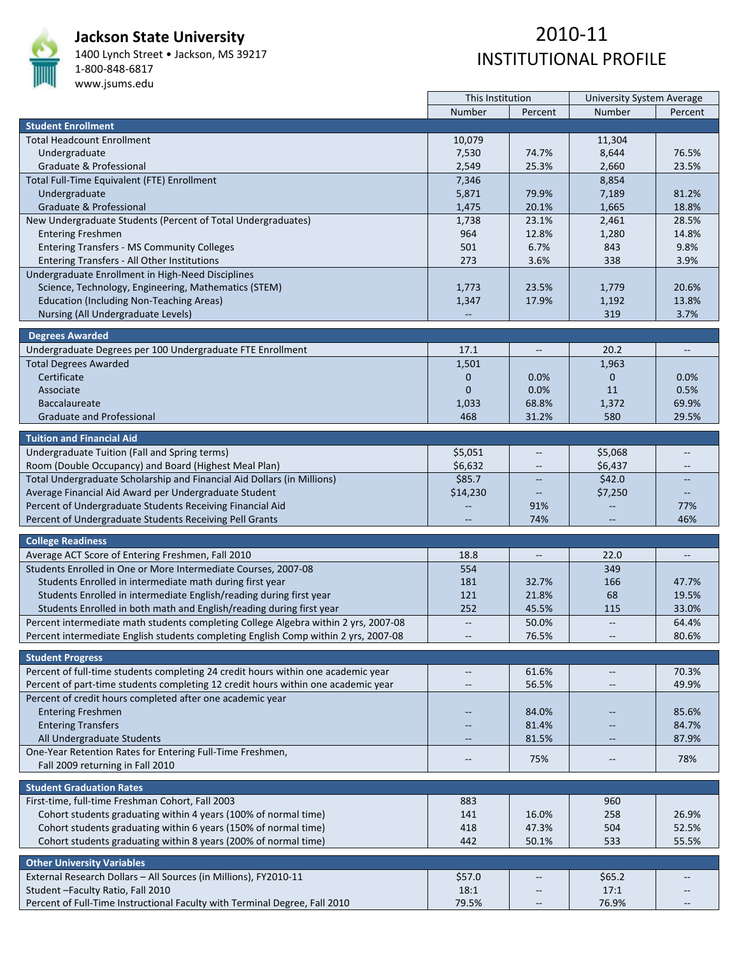

### **Jackson State University**

1400 Lynch Street • Jackson, MS 39217 1‐800‐848‐6817

#### www.jsums.edu

|                                                                                     | This Institution         |                          | <b>University System Average</b> |                          |
|-------------------------------------------------------------------------------------|--------------------------|--------------------------|----------------------------------|--------------------------|
|                                                                                     | Number                   | Percent                  | Number                           | Percent                  |
| <b>Student Enrollment</b>                                                           |                          |                          |                                  |                          |
| <b>Total Headcount Enrollment</b>                                                   | 10,079                   |                          | 11,304                           |                          |
| Undergraduate                                                                       | 7,530                    | 74.7%                    | 8,644                            | 76.5%                    |
| Graduate & Professional                                                             | 2,549                    | 25.3%                    | 2,660                            | 23.5%                    |
| Total Full-Time Equivalent (FTE) Enrollment                                         | 7,346                    |                          | 8,854                            |                          |
| Undergraduate                                                                       | 5,871                    | 79.9%                    | 7,189                            | 81.2%                    |
| Graduate & Professional                                                             | 1,475                    | 20.1%                    | 1,665                            | 18.8%                    |
| New Undergraduate Students (Percent of Total Undergraduates)                        | 1,738                    | 23.1%                    | 2,461                            | 28.5%                    |
| <b>Entering Freshmen</b>                                                            | 964                      | 12.8%                    | 1,280                            | 14.8%                    |
| <b>Entering Transfers - MS Community Colleges</b>                                   | 501                      | 6.7%                     | 843                              | 9.8%                     |
| Entering Transfers - All Other Institutions                                         | 273                      | 3.6%                     | 338                              | 3.9%                     |
| Undergraduate Enrollment in High-Need Disciplines                                   |                          |                          |                                  |                          |
| Science, Technology, Engineering, Mathematics (STEM)                                | 1,773                    | 23.5%                    | 1,779                            | 20.6%                    |
| <b>Education (Including Non-Teaching Areas)</b>                                     | 1,347                    | 17.9%                    | 1,192                            | 13.8%                    |
|                                                                                     |                          |                          | 319                              | 3.7%                     |
| Nursing (All Undergraduate Levels)                                                  |                          |                          |                                  |                          |
| <b>Degrees Awarded</b>                                                              |                          |                          |                                  |                          |
| Undergraduate Degrees per 100 Undergraduate FTE Enrollment                          | 17.1                     | $\qquad \qquad \cdots$   | 20.2                             | $\overline{\phantom{a}}$ |
| <b>Total Degrees Awarded</b>                                                        | 1,501                    |                          | 1,963                            |                          |
| Certificate                                                                         | $\mathbf 0$              | $0.0\%$                  | $\mathbf 0$                      | 0.0%                     |
| Associate                                                                           | $\mathbf{0}$             | 0.0%                     | 11                               | 0.5%                     |
| <b>Baccalaureate</b>                                                                | 1,033                    | 68.8%                    | 1,372                            | 69.9%                    |
| <b>Graduate and Professional</b>                                                    | 468                      | 31.2%                    | 580                              | 29.5%                    |
|                                                                                     |                          |                          |                                  |                          |
| <b>Tuition and Financial Aid</b>                                                    |                          |                          |                                  |                          |
| Undergraduate Tuition (Fall and Spring terms)                                       | \$5,051                  | $\overline{\phantom{m}}$ | \$5,068                          |                          |
| Room (Double Occupancy) and Board (Highest Meal Plan)                               | \$6,632                  |                          | \$6,437                          |                          |
| Total Undergraduate Scholarship and Financial Aid Dollars (in Millions)             | \$85.7                   |                          | \$42.0                           |                          |
| Average Financial Aid Award per Undergraduate Student                               | \$14,230                 |                          | \$7,250                          |                          |
| Percent of Undergraduate Students Receiving Financial Aid                           |                          | 91%                      |                                  | 77%                      |
| Percent of Undergraduate Students Receiving Pell Grants                             |                          | 74%                      |                                  | 46%                      |
|                                                                                     |                          |                          |                                  |                          |
| <b>College Readiness</b>                                                            |                          |                          |                                  |                          |
| Average ACT Score of Entering Freshmen, Fall 2010                                   | 18.8                     | $\overline{\phantom{m}}$ | 22.0                             | $\overline{a}$           |
| Students Enrolled in One or More Intermediate Courses, 2007-08                      | 554                      |                          | 349                              |                          |
| Students Enrolled in intermediate math during first year                            | 181                      | 32.7%                    | 166                              | 47.7%                    |
| Students Enrolled in intermediate English/reading during first year                 | 121                      | 21.8%                    | 68                               | 19.5%                    |
| Students Enrolled in both math and English/reading during first year                | 252                      | 45.5%                    | 115                              | 33.0%                    |
| Percent intermediate math students completing College Algebra within 2 yrs, 2007-08 | $\overline{\phantom{a}}$ | 50.0%                    | $\overline{\phantom{a}}$         | 64.4%                    |
| Percent intermediate English students completing English Comp within 2 yrs, 2007-08 |                          | 76.5%                    |                                  | 80.6%                    |
|                                                                                     |                          |                          |                                  |                          |
| <b>Student Progress</b>                                                             |                          |                          |                                  |                          |
| Percent of full-time students completing 24 credit hours within one academic year   | $\overline{\phantom{m}}$ | 61.6%                    | $\overline{\phantom{m}}$         | 70.3%                    |
| Percent of part-time students completing 12 credit hours within one academic year   | $\qquad \qquad -$        | 56.5%                    | $\overline{\phantom{m}}$         | 49.9%                    |
| Percent of credit hours completed after one academic year                           |                          |                          |                                  |                          |
| <b>Entering Freshmen</b>                                                            |                          | 84.0%                    |                                  | 85.6%                    |
| <b>Entering Transfers</b>                                                           |                          | 81.4%                    |                                  | 84.7%                    |
| All Undergraduate Students                                                          | $\qquad \qquad -$        | 81.5%                    | $\qquad \qquad -$                | 87.9%                    |
| One-Year Retention Rates for Entering Full-Time Freshmen,                           | $\overline{\phantom{m}}$ | 75%                      | $-\!$                            | 78%                      |
| Fall 2009 returning in Fall 2010                                                    |                          |                          |                                  |                          |
| <b>Student Graduation Rates</b>                                                     |                          |                          |                                  |                          |
|                                                                                     |                          |                          |                                  |                          |
| First-time, full-time Freshman Cohort, Fall 2003                                    | 883                      |                          | 960                              |                          |
| Cohort students graduating within 4 years (100% of normal time)                     | 141                      | 16.0%                    | 258                              | 26.9%                    |
| Cohort students graduating within 6 years (150% of normal time)                     | 418                      | 47.3%                    | 504                              | 52.5%                    |
| Cohort students graduating within 8 years (200% of normal time)                     | 442                      | 50.1%                    | 533                              | 55.5%                    |
| <b>Other University Variables</b>                                                   |                          |                          |                                  |                          |
| External Research Dollars - All Sources (in Millions), FY2010-11                    | \$57.0                   | $\overline{\phantom{a}}$ | \$65.2                           |                          |
| Student-Faculty Ratio, Fall 2010                                                    | 18:1                     |                          | 17:1                             |                          |
| Percent of Full-Time Instructional Faculty with Terminal Degree, Fall 2010          | 79.5%                    |                          | 76.9%                            |                          |
|                                                                                     |                          |                          |                                  |                          |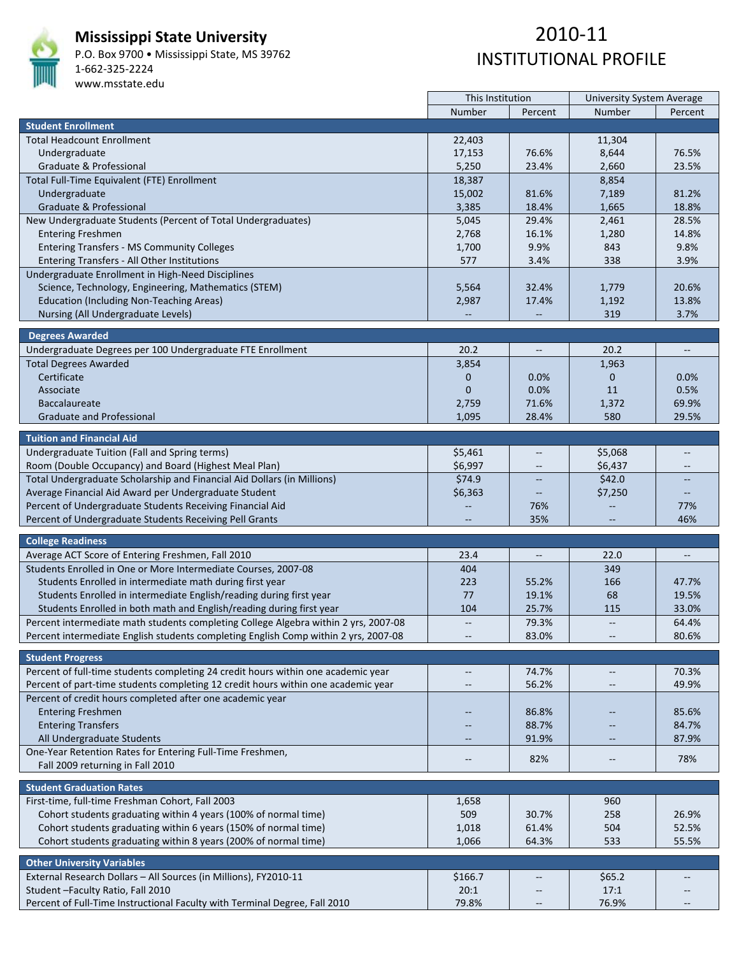

### **Mississippi State University**

P.O. Box 9700 • Mississippi State, MS 39762 1‐662‐325‐2224 www.msstate.edu

# 2010‐11 INSTITUTIONAL PROFILE

|                                                                                     | This Institution         |                          | University System Average |                                                     |  |
|-------------------------------------------------------------------------------------|--------------------------|--------------------------|---------------------------|-----------------------------------------------------|--|
|                                                                                     | Number                   | Percent                  | Number                    | Percent                                             |  |
| <b>Student Enrollment</b>                                                           |                          |                          |                           |                                                     |  |
| <b>Total Headcount Enrollment</b>                                                   | 22,403                   |                          | 11,304                    |                                                     |  |
| Undergraduate                                                                       | 17,153                   | 76.6%                    | 8,644                     | 76.5%                                               |  |
| Graduate & Professional                                                             | 5,250                    | 23.4%                    | 2,660                     | 23.5%                                               |  |
| Total Full-Time Equivalent (FTE) Enrollment                                         | 18,387                   |                          | 8,854                     |                                                     |  |
| Undergraduate                                                                       | 15,002                   | 81.6%                    | 7,189                     | 81.2%                                               |  |
| Graduate & Professional                                                             | 3,385                    | 18.4%                    | 1,665                     | 18.8%                                               |  |
| New Undergraduate Students (Percent of Total Undergraduates)                        | 5,045                    | 29.4%                    | 2,461                     | 28.5%                                               |  |
| <b>Entering Freshmen</b>                                                            | 2,768                    | 16.1%                    | 1,280                     | 14.8%                                               |  |
| <b>Entering Transfers - MS Community Colleges</b>                                   | 1,700                    | 9.9%                     | 843                       | 9.8%                                                |  |
| Entering Transfers - All Other Institutions                                         | 577                      | 3.4%                     | 338                       | 3.9%                                                |  |
| Undergraduate Enrollment in High-Need Disciplines                                   |                          |                          |                           |                                                     |  |
| Science, Technology, Engineering, Mathematics (STEM)                                |                          | 32.4%                    |                           | 20.6%                                               |  |
| <b>Education (Including Non-Teaching Areas)</b>                                     | 5,564                    |                          | 1,779                     | 13.8%                                               |  |
|                                                                                     | 2,987                    | 17.4%                    | 1,192                     |                                                     |  |
| Nursing (All Undergraduate Levels)                                                  |                          |                          | 319                       | 3.7%                                                |  |
| <b>Degrees Awarded</b>                                                              |                          |                          |                           |                                                     |  |
| Undergraduate Degrees per 100 Undergraduate FTE Enrollment                          | 20.2                     | $\overline{\phantom{a}}$ | 20.2                      | $\hspace{0.05cm} -\hspace{0.05cm} -\hspace{0.05cm}$ |  |
| <b>Total Degrees Awarded</b>                                                        | 3,854                    |                          | 1,963                     |                                                     |  |
| Certificate                                                                         | $\mathbf 0$              | $0.0\%$                  | 0                         | 0.0%                                                |  |
| Associate                                                                           | $\mathbf{0}$             | 0.0%                     | 11                        | 0.5%                                                |  |
| <b>Baccalaureate</b>                                                                | 2,759                    | 71.6%                    | 1,372                     | 69.9%                                               |  |
| <b>Graduate and Professional</b>                                                    | 1,095                    | 28.4%                    | 580                       | 29.5%                                               |  |
|                                                                                     |                          |                          |                           |                                                     |  |
| <b>Tuition and Financial Aid</b>                                                    |                          |                          |                           |                                                     |  |
| Undergraduate Tuition (Fall and Spring terms)                                       | \$5,461                  | $\overline{\phantom{a}}$ | \$5,068                   | $\overline{\phantom{a}}$                            |  |
| Room (Double Occupancy) and Board (Highest Meal Plan)                               | \$6,997                  |                          | \$6,437                   |                                                     |  |
| Total Undergraduate Scholarship and Financial Aid Dollars (in Millions)             | \$74.9                   |                          | \$42.0                    |                                                     |  |
| Average Financial Aid Award per Undergraduate Student                               | \$6,363                  | $\qquad \qquad -$        | \$7,250                   | $\qquad \qquad -$                                   |  |
| Percent of Undergraduate Students Receiving Financial Aid                           |                          | 76%                      |                           | 77%                                                 |  |
| Percent of Undergraduate Students Receiving Pell Grants                             |                          | 35%                      |                           | 46%                                                 |  |
|                                                                                     |                          |                          |                           |                                                     |  |
| <b>College Readiness</b>                                                            |                          |                          |                           |                                                     |  |
| Average ACT Score of Entering Freshmen, Fall 2010                                   | 23.4                     | $\overline{\phantom{m}}$ | 22.0                      | $\overline{\phantom{a}}$                            |  |
| Students Enrolled in One or More Intermediate Courses, 2007-08                      | 404                      |                          | 349                       |                                                     |  |
| Students Enrolled in intermediate math during first year                            | 223                      | 55.2%                    | 166                       | 47.7%                                               |  |
| Students Enrolled in intermediate English/reading during first year                 | 77                       | 19.1%                    | 68                        | 19.5%                                               |  |
| Students Enrolled in both math and English/reading during first year                | 104                      | 25.7%                    | 115                       | 33.0%                                               |  |
| Percent intermediate math students completing College Algebra within 2 yrs, 2007-08 | $\overline{\phantom{m}}$ | 79.3%                    | $\overline{\phantom{a}}$  | 64.4%                                               |  |
| Percent intermediate English students completing English Comp within 2 yrs, 2007-08 |                          | 83.0%                    |                           | 80.6%                                               |  |
|                                                                                     |                          |                          |                           |                                                     |  |
| <b>Student Progress</b>                                                             |                          |                          |                           |                                                     |  |
| Percent of full-time students completing 24 credit hours within one academic year   | $\overline{\phantom{m}}$ | 74.7%                    | $\overline{\phantom{m}}$  | 70.3%                                               |  |
| Percent of part-time students completing 12 credit hours within one academic year   | $\overline{\phantom{m}}$ | 56.2%                    | $\overline{\phantom{a}}$  | 49.9%                                               |  |
| Percent of credit hours completed after one academic year                           |                          |                          |                           |                                                     |  |
| <b>Entering Freshmen</b>                                                            |                          | 86.8%                    |                           | 85.6%                                               |  |
| <b>Entering Transfers</b>                                                           |                          | 88.7%                    |                           | 84.7%                                               |  |
| All Undergraduate Students                                                          | $\overline{\phantom{a}}$ | 91.9%                    | $\overline{\phantom{a}}$  | 87.9%                                               |  |
| One-Year Retention Rates for Entering Full-Time Freshmen,                           |                          |                          |                           |                                                     |  |
| Fall 2009 returning in Fall 2010                                                    | $\qquad \qquad -$        | 82%                      | $\overline{\phantom{m}}$  | 78%                                                 |  |
|                                                                                     |                          |                          |                           |                                                     |  |
| <b>Student Graduation Rates</b>                                                     |                          |                          |                           |                                                     |  |
| First-time, full-time Freshman Cohort, Fall 2003                                    | 1,658                    |                          | 960                       |                                                     |  |
| Cohort students graduating within 4 years (100% of normal time)                     | 509                      | 30.7%                    | 258                       | 26.9%                                               |  |
| Cohort students graduating within 6 years (150% of normal time)                     | 1,018                    | 61.4%                    | 504                       | 52.5%                                               |  |
| Cohort students graduating within 8 years (200% of normal time)                     | 1,066                    | 64.3%                    | 533                       | 55.5%                                               |  |
|                                                                                     |                          |                          |                           |                                                     |  |
| <b>Other University Variables</b>                                                   |                          |                          |                           |                                                     |  |
| External Research Dollars - All Sources (in Millions), FY2010-11                    | \$166.7                  | $\qquad \qquad -$        | \$65.2                    |                                                     |  |
| Student - Faculty Ratio, Fall 2010                                                  | 20:1                     |                          | 17:1                      |                                                     |  |
| Percent of Full-Time Instructional Faculty with Terminal Degree, Fall 2010          | 79.8%                    |                          | 76.9%                     | $\overline{\phantom{a}}$                            |  |

 $\mathbf{r}$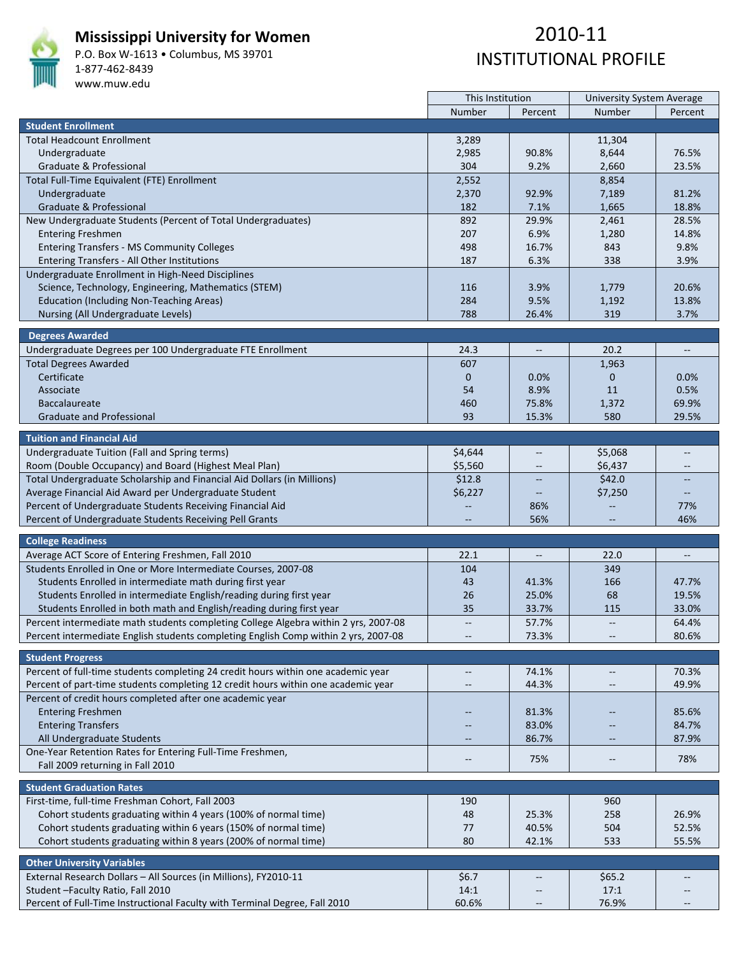

#### **Mississippi University for Women**

P.O. Box W‐1613 • Columbus, MS 39701 1‐877‐462‐8439 www.muw.edu

|                                                                                     | This Institution         |                          | <b>University System Average</b> |                          |  |
|-------------------------------------------------------------------------------------|--------------------------|--------------------------|----------------------------------|--------------------------|--|
|                                                                                     | Number                   | Percent                  | Number                           | Percent                  |  |
| <b>Student Enrollment</b>                                                           |                          |                          |                                  |                          |  |
| <b>Total Headcount Enrollment</b>                                                   | 3,289                    |                          | 11,304                           |                          |  |
| Undergraduate                                                                       | 2,985                    | 90.8%                    | 8,644                            | 76.5%                    |  |
| Graduate & Professional                                                             | 304                      | 9.2%                     | 2,660                            | 23.5%                    |  |
| Total Full-Time Equivalent (FTE) Enrollment                                         | 2,552                    |                          | 8,854                            |                          |  |
| Undergraduate                                                                       | 2,370                    | 92.9%                    | 7,189                            | 81.2%                    |  |
| Graduate & Professional                                                             | 182                      | 7.1%                     | 1,665                            | 18.8%                    |  |
| New Undergraduate Students (Percent of Total Undergraduates)                        | 892                      | 29.9%                    | 2,461                            | 28.5%                    |  |
| <b>Entering Freshmen</b>                                                            | 207                      | 6.9%                     | 1,280                            | 14.8%                    |  |
| <b>Entering Transfers - MS Community Colleges</b>                                   | 498                      | 16.7%                    | 843                              | 9.8%                     |  |
| Entering Transfers - All Other Institutions                                         | 187                      | 6.3%                     | 338                              | 3.9%                     |  |
|                                                                                     |                          |                          |                                  |                          |  |
| Undergraduate Enrollment in High-Need Disciplines                                   |                          |                          |                                  | 20.6%                    |  |
| Science, Technology, Engineering, Mathematics (STEM)                                | 116                      | 3.9%                     | 1,779                            |                          |  |
| <b>Education (Including Non-Teaching Areas)</b>                                     | 284                      | 9.5%                     | 1,192                            | 13.8%                    |  |
| Nursing (All Undergraduate Levels)                                                  | 788                      | 26.4%                    | 319                              | 3.7%                     |  |
| <b>Degrees Awarded</b>                                                              |                          |                          |                                  |                          |  |
| Undergraduate Degrees per 100 Undergraduate FTE Enrollment                          | 24.3                     | $\overline{\phantom{a}}$ | 20.2                             | $\overline{\phantom{a}}$ |  |
| <b>Total Degrees Awarded</b>                                                        | 607                      |                          | 1,963                            |                          |  |
| Certificate                                                                         | $\mathbf{0}$             |                          |                                  |                          |  |
|                                                                                     |                          | 0.0%                     | $\mathbf{0}$                     | 0.0%                     |  |
| Associate                                                                           | 54                       | 8.9%                     | 11                               | 0.5%                     |  |
| <b>Baccalaureate</b>                                                                | 460                      | 75.8%                    | 1,372                            | 69.9%                    |  |
| Graduate and Professional                                                           | 93                       | 15.3%                    | 580                              | 29.5%                    |  |
| <b>Tuition and Financial Aid</b>                                                    |                          |                          |                                  |                          |  |
| Undergraduate Tuition (Fall and Spring terms)                                       | \$4,644                  | $\overline{\phantom{m}}$ | \$5,068                          |                          |  |
| Room (Double Occupancy) and Board (Highest Meal Plan)                               | \$5,560                  |                          | \$6,437                          |                          |  |
| Total Undergraduate Scholarship and Financial Aid Dollars (in Millions)             | \$12.8                   |                          | \$42.0                           |                          |  |
|                                                                                     |                          |                          |                                  |                          |  |
| Average Financial Aid Award per Undergraduate Student                               | \$6,227                  | $\qquad \qquad -$        | \$7,250                          |                          |  |
| Percent of Undergraduate Students Receiving Financial Aid                           |                          | 86%<br>56%               |                                  | 77%                      |  |
| Percent of Undergraduate Students Receiving Pell Grants                             |                          |                          |                                  | 46%                      |  |
| <b>College Readiness</b>                                                            |                          |                          |                                  |                          |  |
| Average ACT Score of Entering Freshmen, Fall 2010                                   | 22.1                     | $\overline{\phantom{m}}$ | 22.0                             | $\overline{a}$           |  |
| Students Enrolled in One or More Intermediate Courses, 2007-08                      | 104                      |                          | 349                              |                          |  |
| Students Enrolled in intermediate math during first year                            | 43                       | 41.3%                    | 166                              | 47.7%                    |  |
| Students Enrolled in intermediate English/reading during first year                 | 26                       | 25.0%                    | 68                               | 19.5%                    |  |
| Students Enrolled in both math and English/reading during first year                | 35                       | 33.7%                    | 115                              | 33.0%                    |  |
| Percent intermediate math students completing College Algebra within 2 yrs, 2007-08 | $\overline{a}$           | 57.7%                    | $\overline{\phantom{a}}$         | 64.4%                    |  |
| Percent intermediate English students completing English Comp within 2 yrs, 2007-08 |                          | 73.3%                    |                                  | 80.6%                    |  |
|                                                                                     |                          |                          |                                  |                          |  |
| <b>Student Progress</b>                                                             |                          |                          |                                  |                          |  |
| Percent of full-time students completing 24 credit hours within one academic year   | $\overline{\phantom{m}}$ | 74.1%                    | $\overline{\phantom{m}}$         | 70.3%                    |  |
| Percent of part-time students completing 12 credit hours within one academic year   | $\qquad \qquad -$        | 44.3%                    | $\overline{\phantom{m}}$         | 49.9%                    |  |
| Percent of credit hours completed after one academic year                           |                          |                          |                                  |                          |  |
| <b>Entering Freshmen</b>                                                            |                          | 81.3%                    |                                  | 85.6%                    |  |
| <b>Entering Transfers</b>                                                           |                          | 83.0%                    |                                  | 84.7%                    |  |
| All Undergraduate Students                                                          | $-$                      | 86.7%                    | $\overline{\phantom{a}}$         | 87.9%                    |  |
|                                                                                     |                          |                          |                                  |                          |  |
| One-Year Retention Rates for Entering Full-Time Freshmen,                           | $\qquad \qquad -$        | 75%                      | $-\!$                            | 78%                      |  |
| Fall 2009 returning in Fall 2010                                                    |                          |                          |                                  |                          |  |
| <b>Student Graduation Rates</b>                                                     |                          |                          |                                  |                          |  |
| First-time, full-time Freshman Cohort, Fall 2003                                    | 190                      |                          | 960                              |                          |  |
| Cohort students graduating within 4 years (100% of normal time)                     | 48                       | 25.3%                    | 258                              | 26.9%                    |  |
| Cohort students graduating within 6 years (150% of normal time)                     | 77                       | 40.5%                    | 504                              | 52.5%                    |  |
| Cohort students graduating within 8 years (200% of normal time)                     | 80                       | 42.1%                    | 533                              | 55.5%                    |  |
|                                                                                     |                          |                          |                                  |                          |  |
| <b>Other University Variables</b>                                                   |                          |                          |                                  |                          |  |
| External Research Dollars - All Sources (in Millions), FY2010-11                    | \$6.7                    | $\overline{\phantom{a}}$ | \$65.2                           |                          |  |
| Student-Faculty Ratio, Fall 2010                                                    | 14:1                     |                          | 17:1                             |                          |  |
| Percent of Full-Time Instructional Faculty with Terminal Degree, Fall 2010          | 60.6%                    |                          | 76.9%                            |                          |  |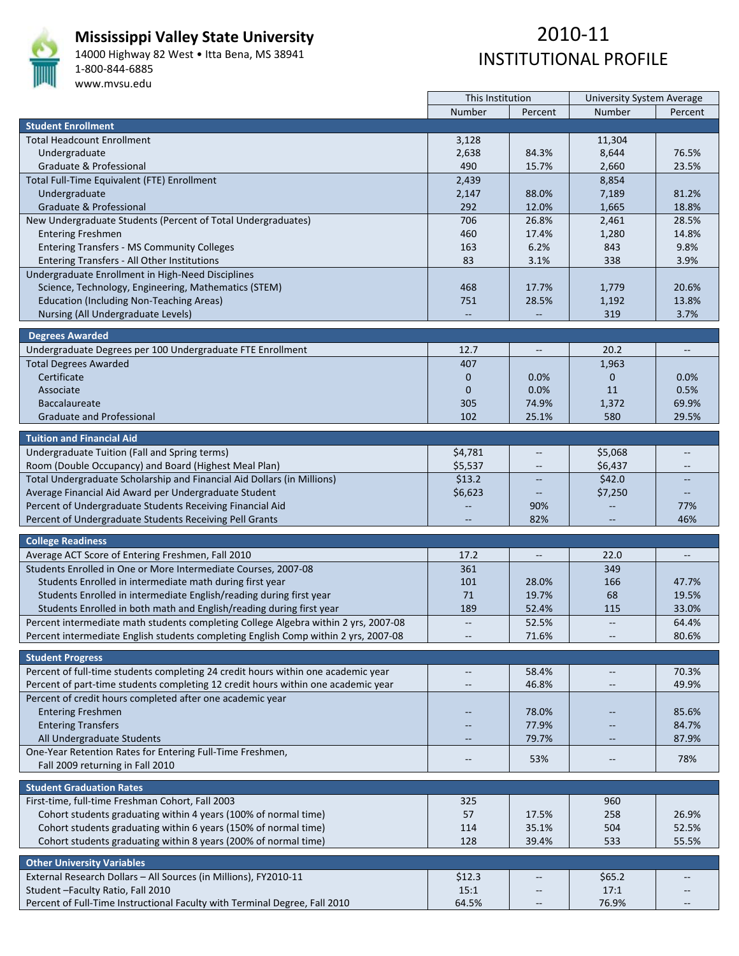

### **Mississippi Valley State University**

14000 Highway 82 West • Itta Bena, MS 38941 1‐800‐844‐6885 www.mvsu.edu

|                                                                                     | This Institution  |                          | <b>University System Average</b> |                                   |  |
|-------------------------------------------------------------------------------------|-------------------|--------------------------|----------------------------------|-----------------------------------|--|
|                                                                                     | Number            | Percent                  | Number                           | Percent                           |  |
| <b>Student Enrollment</b>                                                           |                   |                          |                                  |                                   |  |
| <b>Total Headcount Enrollment</b>                                                   | 3,128             |                          | 11,304                           |                                   |  |
| Undergraduate                                                                       | 2,638             | 84.3%                    | 8,644                            | 76.5%                             |  |
| Graduate & Professional                                                             | 490               | 15.7%                    | 2,660                            | 23.5%                             |  |
| Total Full-Time Equivalent (FTE) Enrollment                                         | 2,439             |                          | 8,854                            |                                   |  |
|                                                                                     |                   | 88.0%                    |                                  | 81.2%                             |  |
| Undergraduate<br>Graduate & Professional                                            | 2,147<br>292      |                          | 7,189                            |                                   |  |
|                                                                                     |                   | 12.0%                    | 1,665                            | 18.8%                             |  |
| New Undergraduate Students (Percent of Total Undergraduates)                        | 706               | 26.8%                    | 2,461                            | 28.5%                             |  |
| <b>Entering Freshmen</b>                                                            | 460               | 17.4%                    | 1,280                            | 14.8%                             |  |
| <b>Entering Transfers - MS Community Colleges</b>                                   | 163               | 6.2%                     | 843                              | 9.8%                              |  |
| Entering Transfers - All Other Institutions                                         | 83                | 3.1%                     | 338                              | 3.9%                              |  |
| Undergraduate Enrollment in High-Need Disciplines                                   |                   |                          |                                  |                                   |  |
| Science, Technology, Engineering, Mathematics (STEM)                                | 468               | 17.7%                    | 1,779                            | 20.6%                             |  |
| <b>Education (Including Non-Teaching Areas)</b>                                     | 751               | 28.5%                    | 1,192                            | 13.8%                             |  |
| Nursing (All Undergraduate Levels)                                                  |                   |                          | 319                              | 3.7%                              |  |
|                                                                                     |                   |                          |                                  |                                   |  |
| <b>Degrees Awarded</b>                                                              |                   |                          |                                  |                                   |  |
| Undergraduate Degrees per 100 Undergraduate FTE Enrollment                          | 12.7              | $\overline{\phantom{a}}$ | 20.2                             | $\hspace{0.05cm} \dashrightarrow$ |  |
| <b>Total Degrees Awarded</b>                                                        | 407               |                          | 1,963                            |                                   |  |
| Certificate                                                                         | $\boldsymbol{0}$  | 0.0%                     | $\mathbf 0$                      | 0.0%                              |  |
| Associate                                                                           | $\mathbf{0}$      | 0.0%                     | 11                               | 0.5%                              |  |
| <b>Baccalaureate</b>                                                                | 305               | 74.9%                    | 1,372                            | 69.9%                             |  |
| <b>Graduate and Professional</b>                                                    | 102               | 25.1%                    | 580                              | 29.5%                             |  |
|                                                                                     |                   |                          |                                  |                                   |  |
| <b>Tuition and Financial Aid</b>                                                    |                   |                          |                                  |                                   |  |
| Undergraduate Tuition (Fall and Spring terms)                                       | \$4,781           | $\overline{\phantom{m}}$ | \$5,068                          | $-$                               |  |
| Room (Double Occupancy) and Board (Highest Meal Plan)                               | \$5,537           |                          | \$6,437                          |                                   |  |
| Total Undergraduate Scholarship and Financial Aid Dollars (in Millions)             | \$13.2            |                          | \$42.0                           | $\overline{a}$                    |  |
| Average Financial Aid Award per Undergraduate Student                               | \$6,623           |                          | \$7,250                          |                                   |  |
| Percent of Undergraduate Students Receiving Financial Aid                           |                   | 90%                      |                                  | 77%                               |  |
| Percent of Undergraduate Students Receiving Pell Grants                             |                   | 82%                      |                                  | 46%                               |  |
| <b>College Readiness</b>                                                            |                   |                          |                                  |                                   |  |
|                                                                                     |                   |                          |                                  |                                   |  |
| Average ACT Score of Entering Freshmen, Fall 2010                                   | 17.2              |                          | 22.0                             |                                   |  |
| Students Enrolled in One or More Intermediate Courses, 2007-08                      | 361               |                          | 349                              |                                   |  |
| Students Enrolled in intermediate math during first year                            | 101               | 28.0%                    | 166                              | 47.7%                             |  |
| Students Enrolled in intermediate English/reading during first year                 | 71                | 19.7%                    | 68                               | 19.5%                             |  |
| Students Enrolled in both math and English/reading during first year                | 189               | 52.4%                    | 115                              | 33.0%                             |  |
| Percent intermediate math students completing College Algebra within 2 yrs, 2007-08 | $---$             | 52.5%                    | $\overline{\phantom{m}}$         | 64.4%                             |  |
| Percent intermediate English students completing English Comp within 2 yrs, 2007-08 |                   | 71.6%                    |                                  | 80.6%                             |  |
|                                                                                     |                   |                          |                                  |                                   |  |
| <b>Student Progress</b>                                                             |                   |                          |                                  |                                   |  |
| Percent of full-time students completing 24 credit hours within one academic year   | $- -$             | 58.4%                    | $\overline{\phantom{a}}$         | 70.3%                             |  |
| Percent of part-time students completing 12 credit hours within one academic year   |                   | 46.8%                    |                                  | 49.9%                             |  |
| Percent of credit hours completed after one academic year                           |                   |                          |                                  |                                   |  |
| <b>Entering Freshmen</b>                                                            |                   | 78.0%                    |                                  | 85.6%                             |  |
| <b>Entering Transfers</b>                                                           |                   | 77.9%                    |                                  | 84.7%                             |  |
| All Undergraduate Students                                                          | $\qquad \qquad -$ | 79.7%                    | $\overline{\phantom{a}}$         | 87.9%                             |  |
| One-Year Retention Rates for Entering Full-Time Freshmen,                           | --                | 53%                      | --                               | 78%                               |  |
| Fall 2009 returning in Fall 2010                                                    |                   |                          |                                  |                                   |  |
| <b>Student Graduation Rates</b>                                                     |                   |                          |                                  |                                   |  |
| First-time, full-time Freshman Cohort, Fall 2003                                    | 325               |                          | 960                              |                                   |  |
| Cohort students graduating within 4 years (100% of normal time)                     | 57                | 17.5%                    | 258                              | 26.9%                             |  |
|                                                                                     |                   |                          |                                  |                                   |  |
| Cohort students graduating within 6 years (150% of normal time)                     | 114               | 35.1%                    | 504                              | 52.5%                             |  |
| Cohort students graduating within 8 years (200% of normal time)                     | 128               | 39.4%                    | 533                              | 55.5%                             |  |
| <b>Other University Variables</b>                                                   |                   |                          |                                  |                                   |  |
| External Research Dollars - All Sources (in Millions), FY2010-11                    | \$12.3            |                          | \$65.2                           |                                   |  |
| Student-Faculty Ratio, Fall 2010                                                    | 15:1              | $\qquad \qquad -$        | 17:1                             |                                   |  |
| Percent of Full-Time Instructional Faculty with Terminal Degree, Fall 2010          | 64.5%             |                          | 76.9%                            |                                   |  |
|                                                                                     |                   |                          |                                  |                                   |  |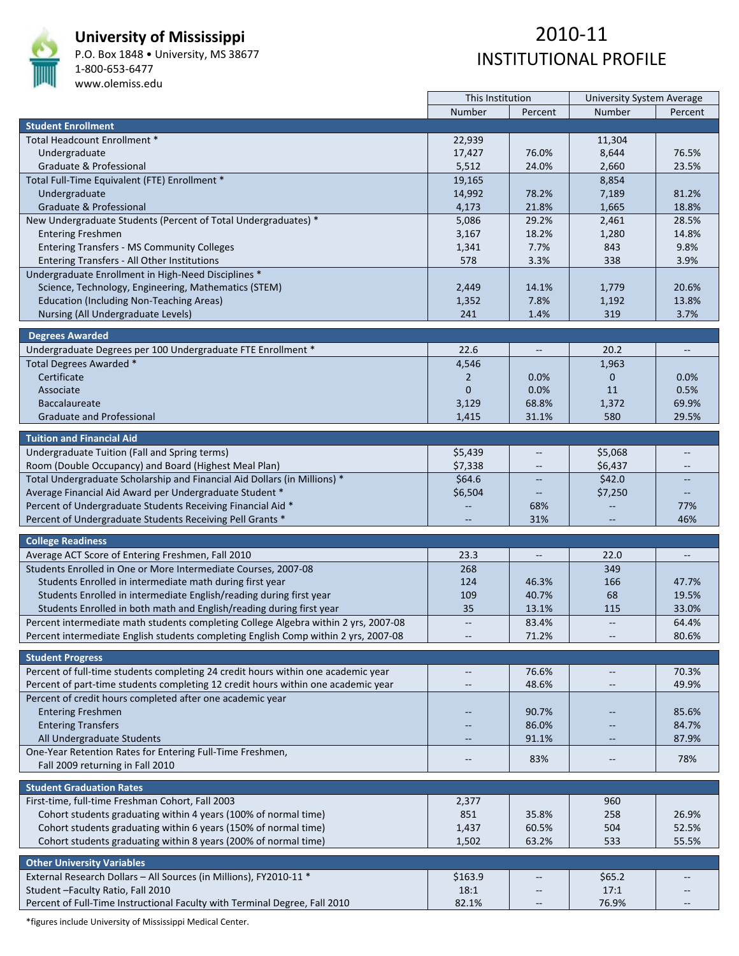

### **University of Mississippi**

P.O. Box 1848 • University, MS 38677 1‐800‐653‐6477

www.olemiss.edu

## 2010‐11 INSTITUTIONAL PROFILE

|                                                                                     | This Institution         |                          | <b>University System Average</b> |                                   |
|-------------------------------------------------------------------------------------|--------------------------|--------------------------|----------------------------------|-----------------------------------|
|                                                                                     | Number                   | Percent                  | Number                           | Percent                           |
| <b>Student Enrollment</b>                                                           |                          |                          |                                  |                                   |
| Total Headcount Enrollment *                                                        | 22,939                   |                          | 11,304                           |                                   |
| Undergraduate                                                                       | 17,427                   | 76.0%                    | 8,644                            | 76.5%                             |
| Graduate & Professional                                                             | 5,512                    | 24.0%                    | 2,660                            | 23.5%                             |
| Total Full-Time Equivalent (FTE) Enrollment *                                       | 19,165                   |                          | 8,854                            |                                   |
| Undergraduate                                                                       | 14,992                   | 78.2%                    | 7,189                            | 81.2%                             |
| Graduate & Professional                                                             | 4,173                    | 21.8%                    | 1,665                            | 18.8%                             |
| New Undergraduate Students (Percent of Total Undergraduates) *                      | 5,086                    | 29.2%                    | 2,461                            | 28.5%                             |
| <b>Entering Freshmen</b>                                                            | 3,167                    | 18.2%                    | 1,280                            | 14.8%                             |
| <b>Entering Transfers - MS Community Colleges</b>                                   | 1,341                    | 7.7%                     | 843                              | 9.8%                              |
| Entering Transfers - All Other Institutions                                         | 578                      | 3.3%                     | 338                              | 3.9%                              |
| Undergraduate Enrollment in High-Need Disciplines *                                 |                          |                          |                                  |                                   |
| Science, Technology, Engineering, Mathematics (STEM)                                | 2,449                    | 14.1%                    | 1,779                            | 20.6%                             |
| <b>Education (Including Non-Teaching Areas)</b>                                     | 1,352                    | 7.8%                     | 1,192                            | 13.8%                             |
| Nursing (All Undergraduate Levels)                                                  | 241                      | 1.4%                     | 319                              | 3.7%                              |
|                                                                                     |                          |                          |                                  |                                   |
| <b>Degrees Awarded</b>                                                              |                          |                          |                                  |                                   |
| Undergraduate Degrees per 100 Undergraduate FTE Enrollment *                        | 22.6                     | $\overline{\phantom{a}}$ | 20.2                             | $\hspace{0.05cm} \dashrightarrow$ |
| Total Degrees Awarded *                                                             | 4,546                    |                          | 1,963                            |                                   |
| Certificate                                                                         | $\overline{2}$           | 0.0%                     | 0                                | 0.0%                              |
| Associate                                                                           | $\mathbf{0}$             | 0.0%                     | 11                               | 0.5%                              |
| <b>Baccalaureate</b>                                                                | 3,129                    | 68.8%                    | 1,372                            | 69.9%                             |
| <b>Graduate and Professional</b>                                                    | 1,415                    | 31.1%                    | 580                              | 29.5%                             |
| <b>Tuition and Financial Aid</b>                                                    |                          |                          |                                  |                                   |
| Undergraduate Tuition (Fall and Spring terms)                                       | \$5,439                  |                          | \$5,068                          | $\qquad \qquad -$                 |
| Room (Double Occupancy) and Board (Highest Meal Plan)                               | \$7,338                  |                          | \$6,437                          |                                   |
| Total Undergraduate Scholarship and Financial Aid Dollars (in Millions) *           | \$64.6                   |                          | \$42.0                           |                                   |
| Average Financial Aid Award per Undergraduate Student *                             | \$6,504                  | $\qquad \qquad -$        | \$7,250                          | $\qquad \qquad -$                 |
| Percent of Undergraduate Students Receiving Financial Aid *                         |                          | 68%                      |                                  | 77%                               |
| Percent of Undergraduate Students Receiving Pell Grants *                           |                          | 31%                      |                                  | 46%                               |
|                                                                                     |                          |                          |                                  |                                   |
| <b>College Readiness</b>                                                            |                          |                          |                                  |                                   |
| Average ACT Score of Entering Freshmen, Fall 2010                                   | 23.3                     | $\overline{\phantom{a}}$ | 22.0                             | $\overline{\phantom{a}}$          |
| Students Enrolled in One or More Intermediate Courses, 2007-08                      | 268                      |                          | 349                              |                                   |
| Students Enrolled in intermediate math during first year                            | 124                      | 46.3%                    | 166                              | 47.7%                             |
| Students Enrolled in intermediate English/reading during first year                 | 109                      | 40.7%                    | 68                               | 19.5%                             |
| Students Enrolled in both math and English/reading during first year                | 35                       | 13.1%                    | 115                              | 33.0%                             |
| Percent intermediate math students completing College Algebra within 2 yrs, 2007-08 | $\overline{\phantom{m}}$ | 83.4%                    | $\overline{\phantom{a}}$         | 64.4%                             |
| Percent intermediate English students completing English Comp within 2 yrs, 2007-08 |                          | 71.2%                    |                                  | 80.6%                             |
|                                                                                     |                          |                          |                                  |                                   |
| <b>Student Progress</b>                                                             |                          |                          |                                  |                                   |
| Percent of full-time students completing 24 credit hours within one academic year   | $\overline{\phantom{a}}$ | 76.6%                    | $\overline{\phantom{m}}$         | 70.3%                             |
| Percent of part-time students completing 12 credit hours within one academic year   | $\overline{\phantom{m}}$ | 48.6%                    | $\overline{\phantom{m}}$         | 49.9%                             |
| Percent of credit hours completed after one academic year                           |                          |                          |                                  |                                   |
| <b>Entering Freshmen</b>                                                            |                          | 90.7%                    |                                  | 85.6%                             |
| <b>Entering Transfers</b>                                                           |                          | 86.0%                    |                                  | 84.7%                             |
| All Undergraduate Students                                                          | $\overline{\phantom{a}}$ | 91.1%                    |                                  | 87.9%                             |
| One-Year Retention Rates for Entering Full-Time Freshmen,                           | $\overline{\phantom{m}}$ | 83%                      | $\qquad \qquad -$                | 78%                               |
| Fall 2009 returning in Fall 2010                                                    |                          |                          |                                  |                                   |
| <b>Student Graduation Rates</b>                                                     |                          |                          |                                  |                                   |
| First-time, full-time Freshman Cohort, Fall 2003                                    | 2,377                    |                          | 960                              |                                   |
| Cohort students graduating within 4 years (100% of normal time)                     | 851                      | 35.8%                    | 258                              | 26.9%                             |
| Cohort students graduating within 6 years (150% of normal time)                     | 1,437                    | 60.5%                    | 504                              | 52.5%                             |
| Cohort students graduating within 8 years (200% of normal time)                     | 1,502                    | 63.2%                    | 533                              | 55.5%                             |
|                                                                                     |                          |                          |                                  |                                   |
| <b>Other University Variables</b>                                                   |                          |                          |                                  |                                   |
| External Research Dollars - All Sources (in Millions), FY2010-11 *                  | \$163.9                  |                          | \$65.2                           |                                   |
| Student-Faculty Ratio, Fall 2010                                                    | 18:1                     |                          | 17:1                             |                                   |
| Percent of Full-Time Instructional Faculty with Terminal Degree, Fall 2010          | 82.1%                    |                          | 76.9%                            |                                   |

\*figures include University of Mississippi Medical Center.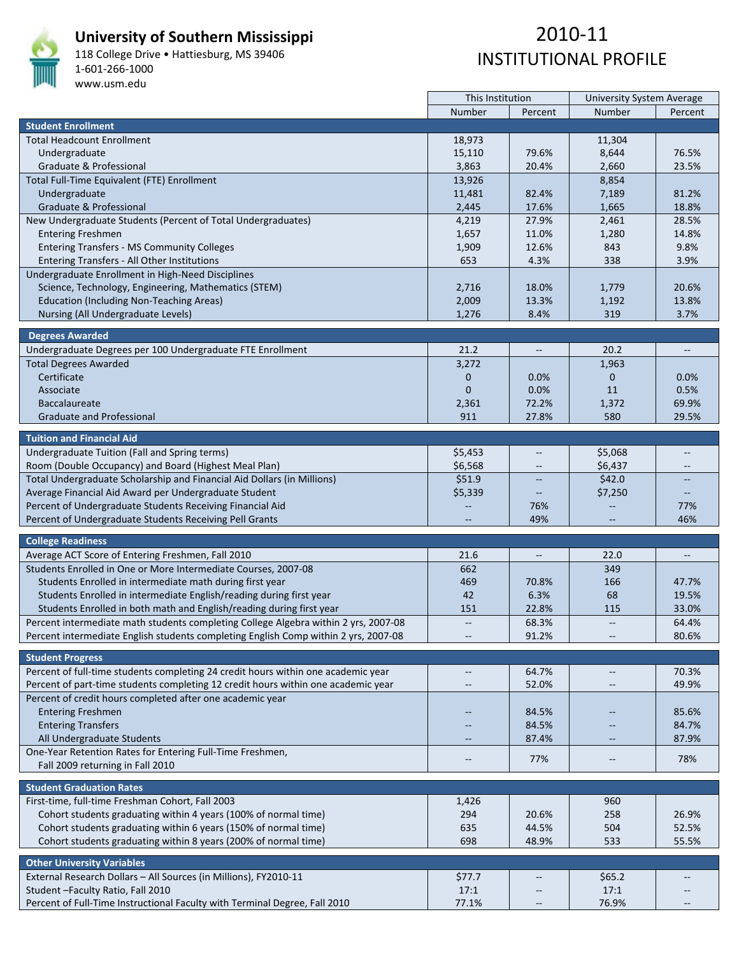

**University of Southern Mississippi**

118 College Drive • Hattiesburg, MS 39406 1‐601‐266‐1000 www.usm.edu

|                                                                                     | This Institution         |                          | University System Average |                          |  |
|-------------------------------------------------------------------------------------|--------------------------|--------------------------|---------------------------|--------------------------|--|
|                                                                                     | Number                   | Percent                  | <b>Number</b>             | Percent                  |  |
| <b>Student Enrollment</b>                                                           |                          |                          |                           |                          |  |
| <b>Total Headcount Enrollment</b>                                                   | 18,973                   |                          | 11,304                    |                          |  |
| Undergraduate                                                                       | 15,110                   | 79.6%                    | 8,644                     | 76.5%                    |  |
| Graduate & Professional                                                             | 3,863                    | 20.4%                    | 2,660                     | 23.5%                    |  |
| Total Full-Time Equivalent (FTE) Enrollment                                         | 13,926                   |                          | 8,854                     |                          |  |
| Undergraduate                                                                       | 11,481                   | 82.4%                    | 7,189                     | 81.2%                    |  |
| Graduate & Professional                                                             | 2,445                    | 17.6%                    | 1,665                     | 18.8%                    |  |
| New Undergraduate Students (Percent of Total Undergraduates)                        | 4,219                    | 27.9%                    | 2,461                     | 28.5%                    |  |
| <b>Entering Freshmen</b>                                                            | 1,657                    | 11.0%                    | 1,280                     | 14.8%                    |  |
| <b>Entering Transfers - MS Community Colleges</b>                                   | 1,909                    | 12.6%                    | 843                       | 9.8%                     |  |
| Entering Transfers - All Other Institutions                                         | 653                      | 4.3%                     | 338                       | 3.9%                     |  |
| Undergraduate Enrollment in High-Need Disciplines                                   |                          |                          |                           |                          |  |
| Science, Technology, Engineering, Mathematics (STEM)                                | 2,716                    | 18.0%                    | 1,779                     | 20.6%                    |  |
| <b>Education (Including Non-Teaching Areas)</b>                                     | 2,009                    | 13.3%                    | 1,192                     | 13.8%                    |  |
| Nursing (All Undergraduate Levels)                                                  | 1,276                    | 8.4%                     | 319                       | 3.7%                     |  |
|                                                                                     |                          |                          |                           |                          |  |
| <b>Degrees Awarded</b>                                                              |                          |                          |                           |                          |  |
| Undergraduate Degrees per 100 Undergraduate FTE Enrollment                          | 21.2                     | $\qquad \qquad \cdots$   | 20.2                      | $\overline{\phantom{a}}$ |  |
| <b>Total Degrees Awarded</b>                                                        | 3,272                    |                          | 1,963                     |                          |  |
| Certificate                                                                         | $\mathbf 0$              | $0.0\%$                  | $\mathbf{0}$              | 0.0%                     |  |
| Associate                                                                           | $\mathbf{0}$             | 0.0%                     | 11                        | 0.5%                     |  |
| <b>Baccalaureate</b>                                                                | 2,361                    | 72.2%                    | 1,372                     | 69.9%                    |  |
| <b>Graduate and Professional</b>                                                    | 911                      | 27.8%                    | 580                       | 29.5%                    |  |
|                                                                                     |                          |                          |                           |                          |  |
| <b>Tuition and Financial Aid</b>                                                    |                          |                          |                           |                          |  |
| Undergraduate Tuition (Fall and Spring terms)                                       | \$5,453                  | $\overline{\phantom{a}}$ | \$5,068                   |                          |  |
| Room (Double Occupancy) and Board (Highest Meal Plan)                               | \$6,568                  |                          | \$6,437                   |                          |  |
| Total Undergraduate Scholarship and Financial Aid Dollars (in Millions)             | \$51.9                   |                          | \$42.0                    |                          |  |
| Average Financial Aid Award per Undergraduate Student                               | \$5,339                  | $\overline{\phantom{a}}$ | \$7,250                   |                          |  |
| Percent of Undergraduate Students Receiving Financial Aid                           |                          | 76%                      |                           | 77%                      |  |
| Percent of Undergraduate Students Receiving Pell Grants                             |                          | 49%                      |                           | 46%                      |  |
| <b>College Readiness</b>                                                            |                          |                          |                           |                          |  |
| Average ACT Score of Entering Freshmen, Fall 2010                                   | 21.6                     | $\overline{\phantom{a}}$ | 22.0                      | $\overline{\phantom{a}}$ |  |
| Students Enrolled in One or More Intermediate Courses, 2007-08                      | 662                      |                          | 349                       |                          |  |
| Students Enrolled in intermediate math during first year                            | 469                      | 70.8%                    | 166                       | 47.7%                    |  |
| Students Enrolled in intermediate English/reading during first year                 | 42                       | 6.3%                     | 68                        | 19.5%                    |  |
| Students Enrolled in both math and English/reading during first year                | 151                      | 22.8%                    | 115                       | 33.0%                    |  |
| Percent intermediate math students completing College Algebra within 2 yrs, 2007-08 | $\overline{\phantom{m}}$ | 68.3%                    |                           | 64.4%                    |  |
| Percent intermediate English students completing English Comp within 2 yrs, 2007-08 |                          | 91.2%                    |                           | 80.6%                    |  |
|                                                                                     |                          |                          |                           |                          |  |
| <b>Student Progress</b>                                                             |                          |                          |                           |                          |  |
| Percent of full-time students completing 24 credit hours within one academic year   | $\overline{\phantom{m}}$ | 64.7%                    | $\overline{\phantom{m}}$  | 70.3%                    |  |
| Percent of part-time students completing 12 credit hours within one academic year   | $\overline{\phantom{m}}$ | 52.0%                    | $\overline{\phantom{m}}$  | 49.9%                    |  |
| Percent of credit hours completed after one academic year                           |                          |                          |                           |                          |  |
| <b>Entering Freshmen</b>                                                            |                          | 84.5%                    |                           | 85.6%                    |  |
| <b>Entering Transfers</b>                                                           |                          | 84.5%                    |                           | 84.7%                    |  |
| All Undergraduate Students                                                          | $\qquad \qquad -$        | 87.4%                    | $\qquad \qquad -$         | 87.9%                    |  |
| One-Year Retention Rates for Entering Full-Time Freshmen,                           |                          |                          |                           |                          |  |
| Fall 2009 returning in Fall 2010                                                    | $\qquad \qquad -$        | 77%                      | $-\!$                     | 78%                      |  |
|                                                                                     |                          |                          |                           |                          |  |
| <b>Student Graduation Rates</b>                                                     |                          |                          |                           |                          |  |
| First-time, full-time Freshman Cohort, Fall 2003                                    | 1,426                    |                          | 960                       |                          |  |
| Cohort students graduating within 4 years (100% of normal time)                     | 294                      | 20.6%                    | 258                       | 26.9%                    |  |
| Cohort students graduating within 6 years (150% of normal time)                     | 635                      | 44.5%                    | 504                       | 52.5%                    |  |
| Cohort students graduating within 8 years (200% of normal time)                     | 698                      | 48.9%                    | 533                       | 55.5%                    |  |
|                                                                                     |                          |                          |                           |                          |  |
| <b>Other University Variables</b>                                                   |                          |                          |                           |                          |  |
| External Research Dollars - All Sources (in Millions), FY2010-11                    | \$77.7                   |                          | \$65.2                    |                          |  |
| Student-Faculty Ratio, Fall 2010                                                    | 17:1                     |                          | 17:1                      |                          |  |
| Percent of Full-Time Instructional Faculty with Terminal Degree, Fall 2010          | 77.1%                    |                          | 76.9%                     |                          |  |